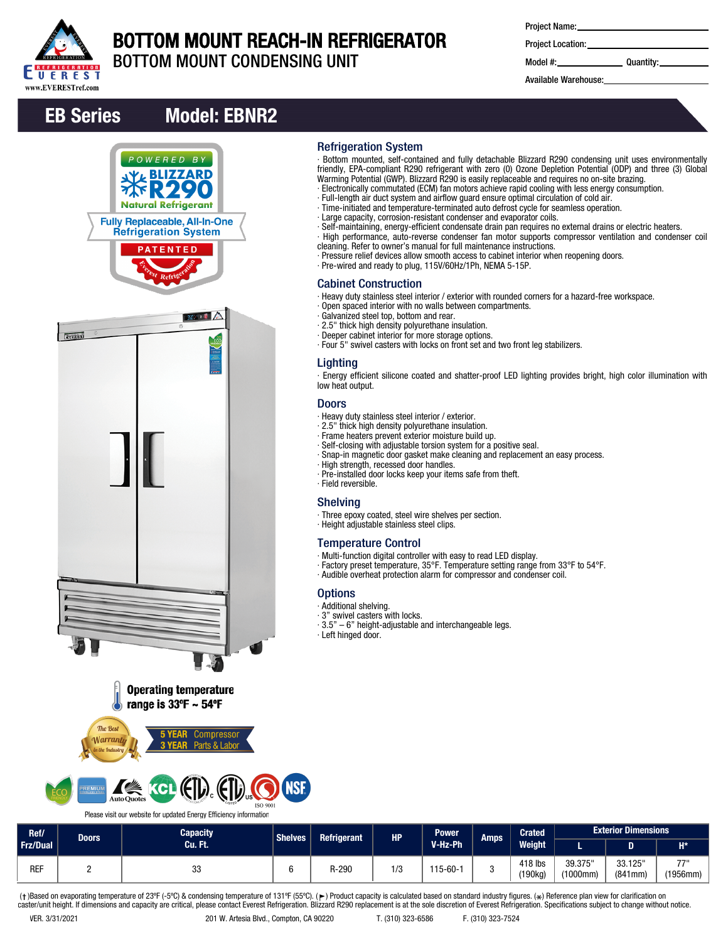

# BOTTOM MOUNT REACH-IN REFRIGERATOR

Refrigeration System

Cabinet Construction

Lighting

low heat output. Doors

∙ Field reversible. Shelving

**Options** ∙ Additional shelving. ∙ 3" swivel casters with locks.

∙ Left hinged door.

∙ Galvanized steel top, bottom and rear. ∙ 2.5" thick high density polyurethane insulation. ∙ Deeper cabinet interior for more storage options.

∙ Heavy duty stainless steel interior / exterior. ∙ 2.5" thick high density polyurethane insulation. ∙ Frame heaters prevent exterior moisture build up.

∙ High strength, recessed door handles.

∙ Height adjustable stainless steel clips.

Temperature Control

BOTTOM MOUNT CONDENSING UNIT

| <b>Project Name:</b> |  |
|----------------------|--|
|----------------------|--|

∙ Bottom mounted, self-contained and fully detachable Blizzard R290 condensing unit uses environmentally friendly, EPA-compliant R290 refrigerant with zero (0) Ozone Depletion Potential (ODP) and three (3) Global

∙ Self-maintaining, energy-efficient condensate drain pan requires no external drains or electric heaters. ∙ High performance, auto-reverse condenser fan motor supports compressor ventilation and condenser coil

∙ Energy efficient silicone coated and shatter-proof LED lighting provides bright, high color illumination with

Warming Potential (GWP). Blizzard R290 is easily replaceable and requires no on-site brazing. ∙ Electronically commutated (ECM) fan motors achieve rapid cooling with less energy consumption.

∙ Full-length air duct system and airflow guard ensure optimal circulation of cold air. ∙ Time-initiated and temperature-terminated auto defrost cycle for seamless operation.

∙ Pressure relief devices allow smooth access to cabinet interior when reopening doors.

∙ Heavy duty stainless steel interior / exterior with rounded corners for a hazard-free workspace.

∙ Large capacity, corrosion-resistant condenser and evaporator coils.

cleaning. Refer to owner's manual for full maintenance instructions.

∙ Four 5" swivel casters with locks on front set and two front leg stabilizers.

∙ Snap-in magnetic door gasket make cleaning and replacement an easy process.

∙ Factory preset temperature, 35°F. Temperature setting range from 33°F to 54°F. ∙ Audible overheat protection alarm for compressor and condenser coil.

∙ Pre-wired and ready to plug, 115V/60Hz/1Ph, NEMA 5-15P.

∙ Open spaced interior with no walls between compartments.

∙ Self-closing with adjustable torsion system for a positive seal.

∙ Multi-function digital controller with easy to read LED display.

∙ Pre-installed door locks keep your items safe from theft.

∙ Three epoxy coated, steel wire shelves per section.

∙ 3.5" – 6" height-adjustable and interchangeable legs.

Project Location:

Model #: Quantity:

Available Warehouse:

# EB Series Model: EBNR2

POWERED RY







# **ISO 9001**

Please visit our website for updated Energy Efficiency information

| Ref/       | Doors | <b>Capacity</b> | <b>Shelves</b><br><b>Refrigerant</b><br><b>HP</b> |         |     | <b>Power</b>  | <b>Amps</b> | <b>Crated</b>                  |                     | <b>Exterior Dimensions</b> |                  |
|------------|-------|-----------------|---------------------------------------------------|---------|-----|---------------|-------------|--------------------------------|---------------------|----------------------------|------------------|
| Frz/Dual   |       | Cu. Ft.         |                                                   | V-Hz-Ph |     | <b>Weight</b> |             | D                              | $H^*$               |                            |                  |
| <b>REF</b> |       | 33              |                                                   | R-290   | 1/3 | $15 - 60 -$   |             | 418 lbs<br>'190kg <sub>)</sub> | 39.375"<br>(1000mm) | 33.125"<br>(841mm)         | 7711<br>(1956mm) |

(†)Based on evaporating temperature of 23ºF (-5ºC) & condensing temperature of 131ºF (55ºC). (ך) Product capacity is calculated based on standard industry figures. (\*) Reference plan view for clarification on<br>caster/unit h